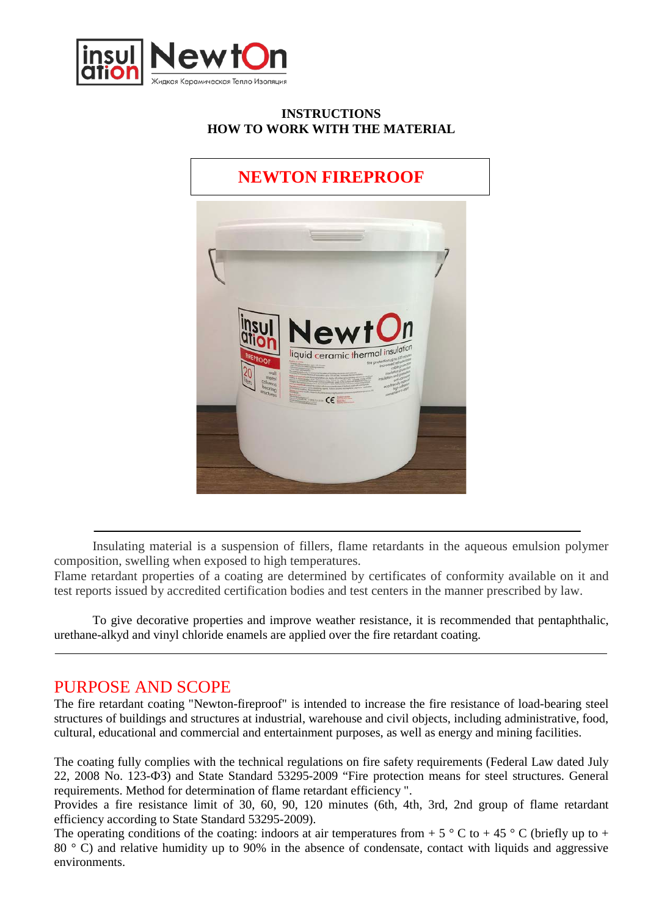

#### **INSTRUCTIONS HOW TO WORK WITH THE MATERIAL**

# **NEWTON FIREPROOF**



Insulating material is a suspension of fillers, flame retardants in the aqueous emulsion polymer composition, swelling when exposed to high temperatures.

Flame retardant properties of a coating are determined by certificates of conformity available on it and test reports issued by accredited certification bodies and test centers in the manner prescribed by law.

To give decorative properties and improve weather resistance, it is recommended that pentaphthalic, urethane-alkyd and vinyl chloride enamels are applied over the fire retardant coating.

## PURPOSE AND SCOPE

The fire retardant coating "Newton-fireproof" is intended to increase the fire resistance of load-bearing steel structures of buildings and structures at industrial, warehouse and civil objects, including administrative, food, cultural, educational and commercial and entertainment purposes, as well as energy and mining facilities.

The coating fully complies with the technical regulations on fire safety requirements (Federal Law dated July 22, 2008 No. 123-ФЗ) and State Standard 53295-2009 "Fire protection means for steel structures. General requirements. Method for determination of flame retardant efficiency ".

Provides a fire resistance limit of 30, 60, 90, 120 minutes (6th, 4th, 3rd, 2nd group of flame retardant efficiency according to State Standard 53295-2009).

The operating conditions of the coating: indoors at air temperatures from + 5  $\degree$  C to + 45  $\degree$  C (briefly up to + 80 ° C) and relative humidity up to 90% in the absence of condensate, contact with liquids and aggressive environments.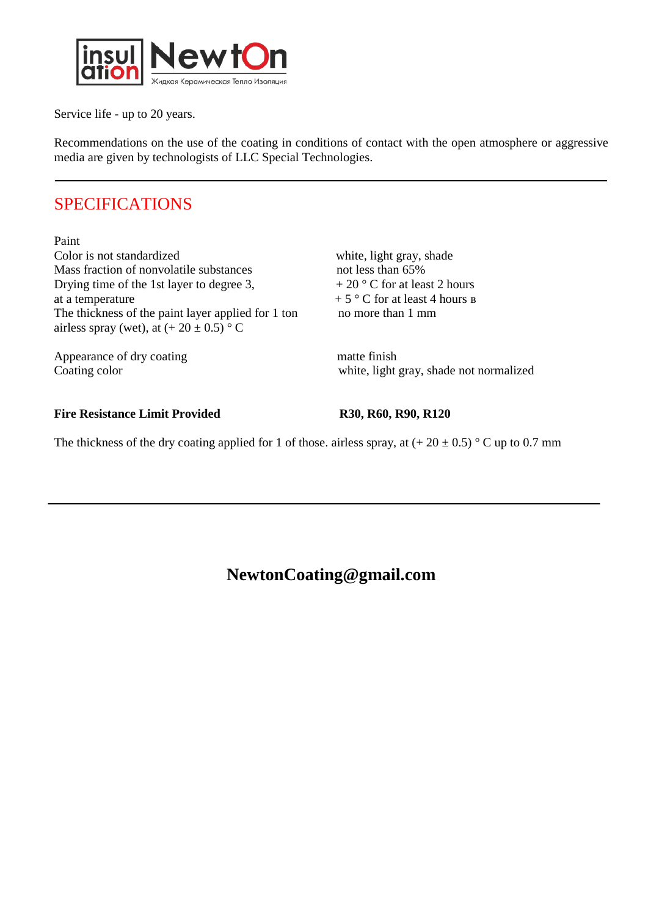

Service life - up to 20 years.

Recommendations on the use of the coating in conditions of contact with the open atmosphere or aggressive media are given by technologists of LLC Special Technologies.

## SPECIFICATIONS

Paint Color is not standardized<br>
Mass fraction of nonvolatile substances<br>
mot less than 65% Mass fraction of nonvolatile substances Drying time of the 1st layer to degree 3,  $+20\degree$  C for at least 2 hours at a temperature  $+ 5 \degree$  C for at least 4 hours в The thickness of the paint layer applied for 1 ton no more than 1 mm airless spray (wet), at  $(+ 20 \pm 0.5)$  ° C

Appearance of dry coating matte finish

Coating color white, light gray, shade not normalized

#### Fire Resistance Limit Provided R30, R60, R90, R120

The thickness of the dry coating applied for 1 of those. airless spray, at  $(+ 20 \pm 0.5)$  ° C up to 0.7 mm

## **NewtonCoating@gmail.com**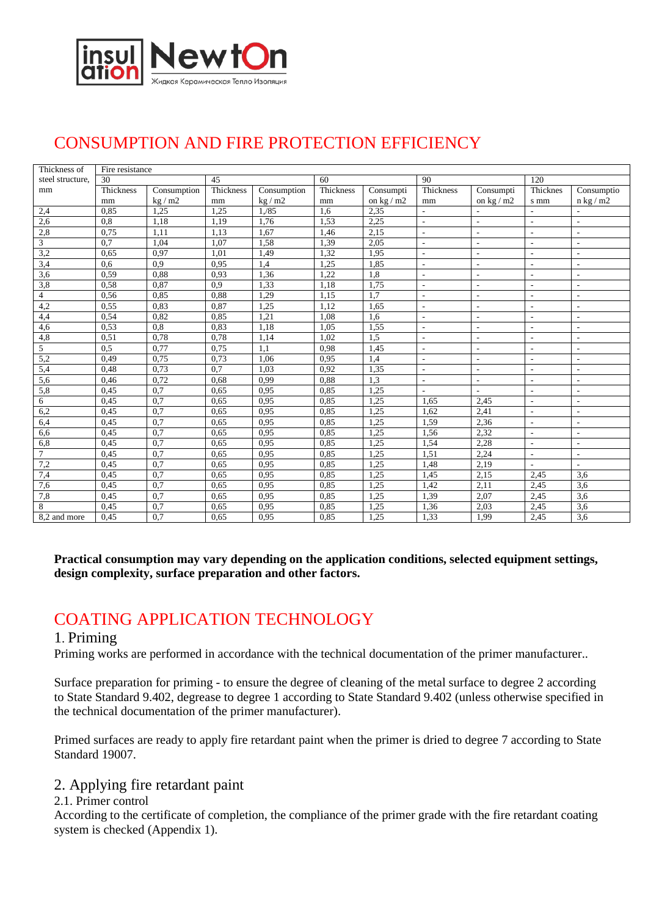

# CONSUMPTION AND FIRE PROTECTION EFFICIENCY

| Thickness of     | Fire resistance |             |           |             |           |            |                          |                          |                          |                            |
|------------------|-----------------|-------------|-----------|-------------|-----------|------------|--------------------------|--------------------------|--------------------------|----------------------------|
| steel structure, | 30              |             | 45        |             | 60        |            | 90                       |                          | 120                      |                            |
| mm               | Thickness       | Consumption | Thickness | Consumption | Thickness | Consumpti  | <b>Thickness</b>         | Consumpti                | Thicknes                 | Consumptio                 |
|                  | mm              | kg/m2       | mm        | kg/m2       | mm        | on $kg/m2$ | mm                       | on $\text{kg}/\text{m2}$ | s mm                     | $n \text{ kg} / \text{m2}$ |
| 2,4              | 0,85            | 1,25        | 1,25      | 1, /85      | 1,6       | 2,35       | $\overline{\phantom{a}}$ | $\overline{\phantom{a}}$ |                          |                            |
| 2,6              | 0,8             | 1,18        | 1,19      | 1,76        | 1,53      | 2,25       | $\overline{\phantom{a}}$ | $\overline{\phantom{a}}$ | $\overline{\phantom{a}}$ | $\overline{\phantom{a}}$   |
| 2,8              | 0,75            | 1,11        | 1,13      | 1,67        | 1,46      | 2,15       | $\sim$                   | $\overline{\phantom{a}}$ | $\overline{\phantom{a}}$ | $\sim$                     |
| 3                | 0,7             | 1,04        | 1,07      | 1,58        | 1,39      | 2,05       | $\sim$                   | $\overline{\phantom{a}}$ | $\sim$                   | ÷.                         |
| 3,2              | 0,65            | 0.97        | 1,01      | 1,49        | 1,32      | 1,95       | $\blacksquare$           | $\overline{\phantom{a}}$ | $\overline{\phantom{a}}$ | $\blacksquare$             |
| 3,4              | 0,6             | 0.9         | 0,95      | 1,4         | 1,25      | 1,85       | $\overline{a}$           | $\overline{\phantom{a}}$ | $\overline{a}$           | $\blacksquare$             |
| 3,6              | 0,59            | 0.88        | 0.93      | 1,36        | 1.22      | 1,8        | $\overline{\phantom{a}}$ | $\overline{\phantom{a}}$ | $\overline{\phantom{a}}$ | $\blacksquare$             |
| 3,8              | 0,58            | 0.87        | 0.9       | 1,33        | 1.18      | 1.75       | $\sim$                   | $\sim$                   | $\overline{a}$           | ÷.                         |
| $\overline{4}$   | 0,56            | 0.85        | 0,88      | 1,29        | 1,15      | 1.7        | ÷.                       | $\overline{a}$           | ÷                        | $\overline{a}$             |
| 4,2              | 0,55            | 0.83        | 0,87      | 1,25        | 1,12      | 1,65       | L.                       | $\overline{\phantom{a}}$ | $\overline{a}$           | $\sim$                     |
| 4,4              | 0,54            | 0.82        | 0,85      | 1,21        | 1,08      | 1,6        | $\overline{\phantom{a}}$ | $\overline{\phantom{a}}$ | $\overline{\phantom{a}}$ | $\overline{\phantom{a}}$   |
| 4,6              | 0.53            | 0.8         | 0.83      | 1,18        | 1,05      | 1,55       | $\overline{\phantom{a}}$ | $\overline{\phantom{a}}$ | $\overline{\phantom{a}}$ | $\overline{\phantom{a}}$   |
| 4,8              | 0,51            | 0.78        | 0,78      | 1,14        | 1,02      | 1.5        | $\overline{\phantom{a}}$ | $\overline{\phantom{a}}$ | $\sim$                   | $\blacksquare$             |
| 5                | 0.5             | 0.77        | 0.75      | 1.1         | 0.98      | 1,45       | $\sim$                   | $\overline{\phantom{a}}$ | $\overline{\phantom{a}}$ | $\sim$                     |
| 5,2              | 0.49            | 0.75        | 0,73      | 1,06        | 0.95      | 1,4        | $\sim$                   | $\overline{\phantom{a}}$ | $\overline{\phantom{a}}$ | $\sim$                     |
| 5,4              | 0,48            | 0.73        | 0,7       | 1,03        | 0,92      | 1,35       | ÷.                       | $\overline{\phantom{a}}$ | $\overline{a}$           | ÷.                         |
| $\overline{5,6}$ | 0,46            | 0,72        | 0,68      | 0,99        | 0,88      | 1,3        | $\overline{\phantom{a}}$ | $\overline{\phantom{a}}$ | $\overline{\phantom{a}}$ | $\overline{a}$             |
| 5,8              | 0,45            | 0.7         | 0.65      | 0.95        | 0.85      | 1,25       | $\overline{\phantom{a}}$ | $\sim$                   | $\overline{a}$           | $\blacksquare$             |
| 6                | 0,45            | 0.7         | 0.65      | 0.95        | 0.85      | 1,25       | 1.65                     | 2,45                     | $\overline{a}$           | ÷.                         |
| 6,2              | 0,45            | 0,7         | 0.65      | 0.95        | 0.85      | 1,25       | 1,62                     | 2,41                     | $\sim$                   | $\overline{a}$             |
| 6,4              | 0,45            | 0,7         | 0,65      | 0,95        | 0,85      | 1,25       | 1,59                     | 2,36                     | ÷,                       | L.                         |
| 6,6              | 0,45            | 0,7         | 0.65      | 0.95        | 0,85      | 1,25       | 1,56                     | 2,32                     | $\overline{\phantom{a}}$ | $\overline{\phantom{a}}$   |
| 6,8              | 0,45            | 0.7         | 0.65      | 0.95        | 0.85      | 1,25       | 1,54                     | 2,28                     | $\overline{\phantom{m}}$ | $\overline{\phantom{a}}$   |
| $\overline{7}$   | 0,45            | 0.7         | 0.65      | 0.95        | 0.85      | 1,25       | 1,51                     | 2,24                     | $\overline{a}$           | ÷.                         |
| 7,2              | 0,45            | 0,7         | 0.65      | 0.95        | 0.85      | 1,25       | 1,48                     | 2,19                     |                          |                            |
| 7,4              | 0,45            | 0,7         | 0,65      | 0,95        | 0,85      | 1,25       | 1,45                     | 2,15                     | 2,45                     | 3,6                        |
| 7,6              | 0,45            | 0,7         | 0.65      | 0.95        | 0,85      | 1,25       | 1,42                     | 2,11                     | 2,45                     | 3,6                        |
| 7,8              | 0,45            | 0,7         | 0.65      | 0.95        | 0.85      | 1,25       | 1,39                     | 2,07                     | 2,45                     | 3,6                        |
| 8                | 0.45            | 0.7         | 0.65      | 0.95        | 0.85      | 1,25       | 1,36                     | 2,03                     | 2,45                     | 3,6                        |
| 8,2 and more     | 0.45            | 0.7         | 0.65      | 0.95        | 0.85      | 1,25       | 1,33                     | 1,99                     | 2,45                     | 3,6                        |

#### **Practical consumption may vary depending on the application conditions, selected equipment settings, design complexity, surface preparation and other factors.**

# COATING APPLICATION TECHNOLOGY

#### 1. Priming

Priming works are performed in accordance with the technical documentation of the primer manufacturer..

Surface preparation for priming - to ensure the degree of cleaning of the metal surface to degree 2 according to State Standard 9.402, degrease to degree 1 according to State Standard 9.402 (unless otherwise specified in the technical documentation of the primer manufacturer).

Primed surfaces are ready to apply fire retardant paint when the primer is dried to degree 7 according to State Standard 19007.

#### 2. Applying fire retardant paint

#### 2.1. Primer control

According to the certificate of completion, the compliance of the primer grade with the fire retardant coating system is checked (Appendix 1).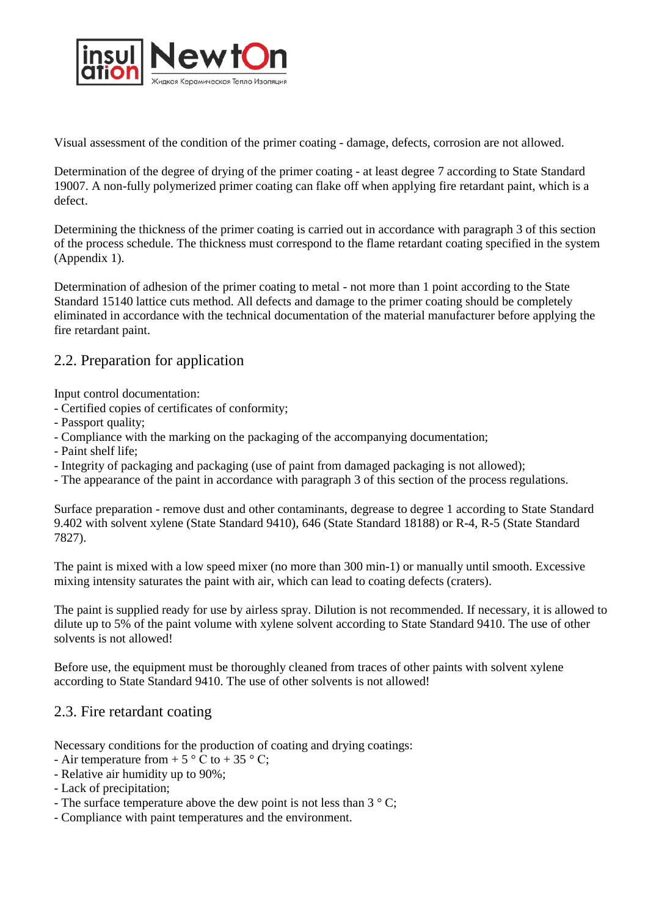

Visual assessment of the condition of the primer coating - damage, defects, corrosion are not allowed.

Determination of the degree of drying of the primer coating - at least degree 7 according to State Standard 19007. A non-fully polymerized primer coating can flake off when applying fire retardant paint, which is a defect.

Determining the thickness of the primer coating is carried out in accordance with paragraph 3 of this section of the process schedule. The thickness must correspond to the flame retardant coating specified in the system (Appendix 1).

Determination of adhesion of the primer coating to metal - not more than 1 point according to the State Standard 15140 lattice cuts method. All defects and damage to the primer coating should be completely eliminated in accordance with the technical documentation of the material manufacturer before applying the fire retardant paint.

## 2.2. Preparation for application

Input control documentation:

- Certified copies of certificates of conformity;
- Passport quality;
- Compliance with the marking on the packaging of the accompanying documentation;
- Paint shelf life;
- Integrity of packaging and packaging (use of paint from damaged packaging is not allowed);
- The appearance of the paint in accordance with paragraph 3 of this section of the process regulations.

Surface preparation - remove dust and other contaminants, degrease to degree 1 according to State Standard 9.402 with solvent xylene (State Standard 9410), 646 (State Standard 18188) or R-4, R-5 (State Standard 7827).

The paint is mixed with a low speed mixer (no more than 300 min-1) or manually until smooth. Excessive mixing intensity saturates the paint with air, which can lead to coating defects (craters).

The paint is supplied ready for use by airless spray. Dilution is not recommended. If necessary, it is allowed to dilute up to 5% of the paint volume with xylene solvent according to State Standard 9410. The use of other solvents is not allowed!

Before use, the equipment must be thoroughly cleaned from traces of other paints with solvent xylene according to State Standard 9410. The use of other solvents is not allowed!

## 2.3. Fire retardant coating

Necessary conditions for the production of coating and drying coatings:

- Air temperature from  $+ 5 \degree C$  to  $+ 35 \degree C$ ;
- Relative air humidity up to 90%;
- Lack of precipitation;
- The surface temperature above the dew point is not less than  $3 \degree$  C;
- Compliance with paint temperatures and the environment.